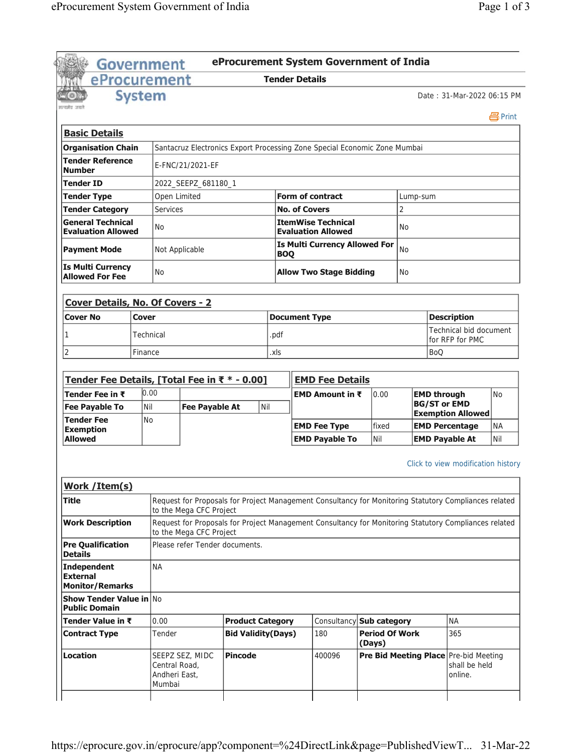|                                                                                  |               | Government                               |                                | eProcurement System Government of India                                                               |                       |                      |                                                        |                                 |                |                     |                                                                   |           |
|----------------------------------------------------------------------------------|---------------|------------------------------------------|--------------------------------|-------------------------------------------------------------------------------------------------------|-----------------------|----------------------|--------------------------------------------------------|---------------------------------|----------------|---------------------|-------------------------------------------------------------------|-----------|
| eProcurement                                                                     |               |                                          |                                |                                                                                                       | <b>Tender Details</b> |                      |                                                        |                                 |                |                     |                                                                   |           |
| रसमें उस                                                                         | <b>System</b> |                                          |                                |                                                                                                       |                       |                      |                                                        |                                 |                |                     | Date: 31-Mar-2022 06:15 PM                                        |           |
|                                                                                  |               |                                          |                                |                                                                                                       |                       |                      |                                                        |                                 |                |                     |                                                                   | 昌Print    |
| <b>Basic Details</b>                                                             |               |                                          |                                |                                                                                                       |                       |                      |                                                        |                                 |                |                     |                                                                   |           |
| <b>Organisation Chain</b>                                                        |               |                                          |                                | Santacruz Electronics Export Processing Zone Special Economic Zone Mumbai                             |                       |                      |                                                        |                                 |                |                     |                                                                   |           |
| <b>Tender Reference</b><br><b>Number</b>                                         |               |                                          | E-FNC/21/2021-EF               |                                                                                                       |                       |                      |                                                        |                                 |                |                     |                                                                   |           |
| Tender ID                                                                        |               |                                          | 2022_SEEPZ_681180_1            |                                                                                                       |                       |                      |                                                        |                                 |                |                     |                                                                   |           |
| <b>Tender Type</b>                                                               |               | Open Limited                             |                                |                                                                                                       |                       |                      | <b>Form of contract</b>                                |                                 | Lump-sum       |                     |                                                                   |           |
| <b>Tender Category</b>                                                           |               | <b>Services</b>                          |                                |                                                                                                       |                       | <b>No. of Covers</b> |                                                        |                                 | $\overline{2}$ |                     |                                                                   |           |
| <b>General Technical</b><br><b>Evaluation Allowed</b>                            |               | No                                       |                                |                                                                                                       |                       |                      | <b>ItemWise Technical</b><br><b>Evaluation Allowed</b> |                                 | <b>No</b>      |                     |                                                                   |           |
| <b>Payment Mode</b>                                                              |               | Not Applicable                           |                                |                                                                                                       | <b>BOQ</b>            |                      | <b>Is Multi Currency Allowed For</b>                   |                                 | <b>No</b>      |                     |                                                                   |           |
| <b>Is Multi Currency</b><br><b>Allowed For Fee</b>                               |               | <b>No</b>                                |                                |                                                                                                       |                       |                      | <b>Allow Two Stage Bidding</b>                         |                                 | <b>No</b>      |                     |                                                                   |           |
|                                                                                  |               |                                          |                                |                                                                                                       |                       |                      |                                                        |                                 |                |                     |                                                                   |           |
| <b>Cover Details, No. Of Covers - 2</b>                                          |               |                                          |                                |                                                                                                       |                       |                      |                                                        |                                 |                |                     |                                                                   |           |
| <b>Cover No</b>                                                                  | <b>Cover</b>  |                                          |                                |                                                                                                       | <b>Document Type</b>  |                      |                                                        |                                 |                |                     | <b>Description</b>                                                |           |
| 1                                                                                |               | Technical                                |                                |                                                                                                       | .pdf                  |                      |                                                        |                                 |                |                     | Technical bid document<br>for RFP for PMC                         |           |
| 2                                                                                | Finance       |                                          |                                |                                                                                                       | .xls                  |                      |                                                        |                                 |                | <b>BoQ</b>          |                                                                   |           |
|                                                                                  |               |                                          |                                |                                                                                                       |                       |                      |                                                        |                                 |                |                     |                                                                   |           |
| Tender Fee Details, [Total Fee in ₹ * - 0.00]                                    |               |                                          |                                |                                                                                                       |                       |                      | <b>EMD Fee Details</b>                                 |                                 |                |                     |                                                                   |           |
| Tender Fee in ₹                                                                  |               | 0.00                                     |                                |                                                                                                       |                       |                      | <b>EMD Amount in <math>\bar{x}</math></b>              | 0.00                            |                | <b>EMD through</b>  |                                                                   | <b>No</b> |
| <b>Fee Payable To</b>                                                            | Nil           |                                          | <b>Fee Payable At</b>          | Nil                                                                                                   |                       |                      |                                                        |                                 |                | <b>BG/ST or EMD</b> | <b>Exemption Allowed</b>                                          |           |
| <b>Tender Fee</b>                                                                | <b>No</b>     |                                          |                                |                                                                                                       |                       |                      | <b>EMD Fee Type</b>                                    | fixed                           |                |                     | <b>EMD Percentage</b>                                             | <b>NA</b> |
| <b>Exemption</b><br>Allowed                                                      |               |                                          |                                |                                                                                                       |                       |                      | <b>EMD Payable To</b>                                  | Nil                             |                |                     | <b>EMD Payable At</b>                                             | Nil       |
|                                                                                  |               |                                          |                                |                                                                                                       |                       |                      |                                                        |                                 |                |                     |                                                                   |           |
|                                                                                  |               |                                          |                                |                                                                                                       |                       |                      |                                                        |                                 |                |                     | Click to view modification history                                |           |
| Work / Item(s)                                                                   |               |                                          |                                |                                                                                                       |                       |                      |                                                        |                                 |                |                     |                                                                   |           |
| <b>Title</b>                                                                     |               |                                          | to the Mega CFC Project        | Request for Proposals for Project Management Consultancy for Monitoring Statutory Compliances related |                       |                      |                                                        |                                 |                |                     |                                                                   |           |
| <b>Work Description</b>                                                          |               |                                          | to the Mega CFC Project        | Request for Proposals for Project Management Consultancy for Monitoring Statutory Compliances related |                       |                      |                                                        |                                 |                |                     |                                                                   |           |
| <b>Pre Qualification</b><br><b>Details</b>                                       |               |                                          | Please refer Tender documents. |                                                                                                       |                       |                      |                                                        |                                 |                |                     |                                                                   |           |
| <b>Independent</b><br><b>External</b>                                            |               | <b>NA</b>                                |                                |                                                                                                       |                       |                      |                                                        |                                 |                |                     |                                                                   |           |
| <b>Monitor/Remarks</b><br><b>Show Tender Value in No</b><br><b>Public Domain</b> |               |                                          |                                |                                                                                                       |                       |                      |                                                        |                                 |                |                     |                                                                   |           |
| Tender Value in ₹                                                                |               | 0.00                                     |                                | <b>Product Category</b>                                                                               |                       |                      | Consultancy                                            | <b>Sub category</b>             |                |                     | <b>NA</b>                                                         |           |
| <b>Contract Type</b>                                                             |               | Tender                                   |                                | <b>Bid Validity(Days)</b>                                                                             |                       |                      | 180                                                    | <b>Period Of Work</b><br>(Days) |                |                     | 365                                                               |           |
| <b>Location</b>                                                                  |               | Central Road,<br>Andheri East,<br>Mumbai | SEEPZ SEZ, MIDC                | <b>Pincode</b>                                                                                        |                       |                      | 400096                                                 |                                 |                |                     | Pre Bid Meeting Place Pre-bid Meeting<br>shall be held<br>online. |           |
|                                                                                  |               |                                          |                                |                                                                                                       |                       |                      |                                                        |                                 |                |                     |                                                                   |           |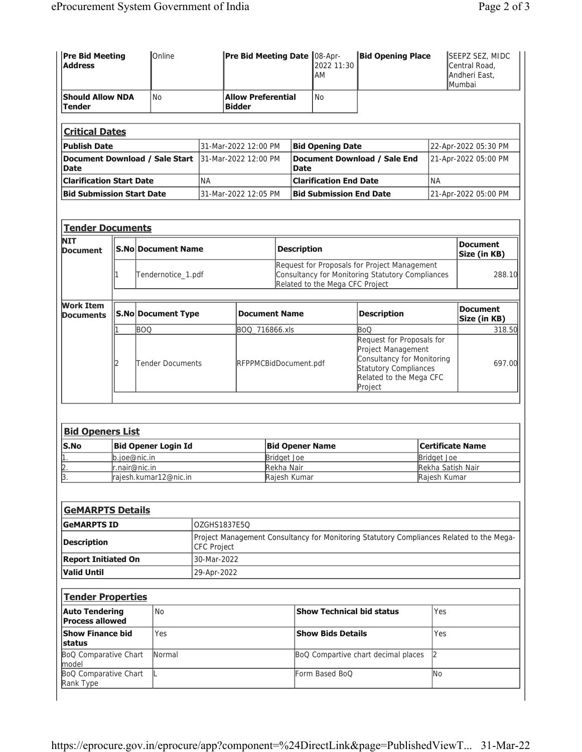| <b>Pre Bid Meeting</b><br><b>Address</b> | Online                         |           | Pre Bid Meeting Date 08-Apr-               |                    | 2022 11:30<br>AM                | <b>Bid Opening Place</b>                         |           | SEEPZ SEZ, MIDC<br>Central Road,<br>Andheri East,<br>Mumbai |
|------------------------------------------|--------------------------------|-----------|--------------------------------------------|--------------------|---------------------------------|--------------------------------------------------|-----------|-------------------------------------------------------------|
| <b>Should Allow NDA</b><br><b>Tender</b> | <b>No</b>                      |           | <b>Allow Preferential</b><br><b>Bidder</b> |                    | <b>No</b>                       |                                                  |           |                                                             |
| <b>Critical Dates</b>                    |                                |           |                                            |                    |                                 |                                                  |           |                                                             |
| <b>Publish Date</b>                      |                                |           | 31-Mar-2022 12:00 PM                       |                    | <b>Bid Opening Date</b>         |                                                  |           | 22-Apr-2022 05:30 PM                                        |
| <b>Date</b>                              | Document Download / Sale Start |           | 31-Mar-2022 12:00 PM                       | <b>Date</b>        |                                 | Document Download / Sale End                     |           | 21-Apr-2022 05:00 PM                                        |
| <b>Clarification Start Date</b>          |                                | <b>NA</b> |                                            |                    | <b>Clarification End Date</b>   |                                                  | <b>NA</b> |                                                             |
| <b>Bid Submission Start Date</b>         |                                |           | 31-Mar-2022 12:05 PM                       |                    | <b>Bid Submission End Date</b>  |                                                  |           | 21-Apr-2022 05:00 PM                                        |
| <b>NIT</b>                               | <b>S.No Document Name</b>      |           |                                            | <b>Description</b> |                                 |                                                  |           | <b>Document</b><br>Size (in KB)                             |
| <b>Document</b>                          |                                |           |                                            |                    |                                 | Request for Proposals for Project Management     |           |                                                             |
|                                          |                                |           |                                            |                    |                                 |                                                  |           |                                                             |
|                                          | Tendernotice_1.pdf             |           |                                            |                    | Related to the Mega CFC Project | Consultancy for Monitoring Statutory Compliances |           | 288.10                                                      |
|                                          | S.No Document Type             |           | <b>Document Name</b>                       |                    |                                 | <b>Description</b>                               |           | <b>Document</b><br>Size (in KB)                             |
| <b>Work Item</b><br><b>Documents</b>     | <b>BOQ</b>                     |           | BOQ 716866.xls                             |                    |                                 | <b>BoQ</b>                                       |           | 318.50                                                      |

|             | <b>Bid Openers List</b>    |                        |                   |
|-------------|----------------------------|------------------------|-------------------|
| <b>S.No</b> | <b>Bid Opener Login Id</b> | <b>Bid Opener Name</b> | Certificate Name  |
|             | b.ioe@nic.in               | Bridget Joe            | Bridget Joe       |
| 12          | $r$ .nair@nic.in           | Rekha Nair             | Rekha Satish Nair |
| 3.          | rajesh.kumar12@nic.in      | Raiesh Kumar           | Raiesh Kumar      |

| <b>GeMARPTS Details</b>    |                                                                                                                |
|----------------------------|----------------------------------------------------------------------------------------------------------------|
| <b>GeMARPTS ID</b>         | OZGHS1837E5O                                                                                                   |
| <b>Description</b>         | Project Management Consultancy for Monitoring Statutory Compliances Related to the Mega-<br><b>CFC Project</b> |
| <b>Report Initiated On</b> | 30-Mar-2022                                                                                                    |
| Valid Until                | 29-Apr-2022                                                                                                    |

| <b>Tender Properties</b>                        |        |                                     |     |
|-------------------------------------------------|--------|-------------------------------------|-----|
| <b>Auto Tendering</b><br><b>Process allowed</b> | l No   | <b>Show Technical bid status</b>    | Yes |
| <b>Show Finance bid</b><br><b>status</b>        | Yes    | <b>Show Bids Details</b>            | Yes |
| <b>BoQ Comparative Chart</b><br>model           | Normal | BoQ Compartive chart decimal places |     |
| <b>BoQ Comparative Chart</b><br>Rank Type       |        | Form Based BoO                      | INo |